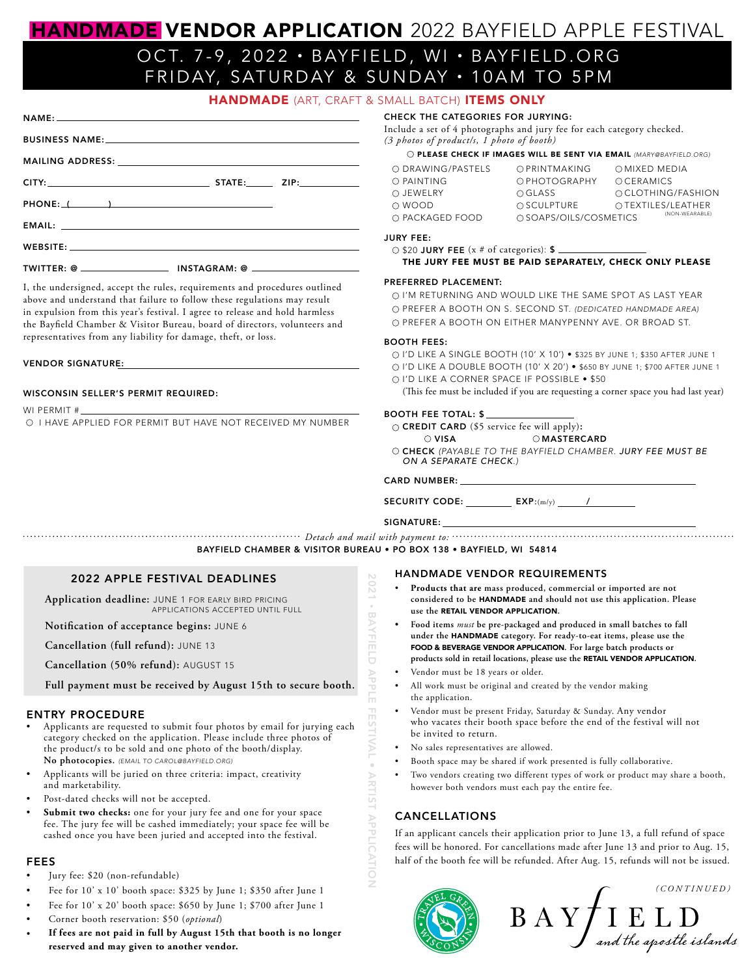# HANDMADE VENDOR APPLICATION 2022 BAYFIELD APPLE FESTIVAL OCT. 7-9 , 2022 • BAYFIELD, WI • BAYFIELD.ORG FRIDAY, SATURDAY & SUNDAY • 10AM TO 5PM

| <b>HANDMADE</b> (ART, CRAFT & SMALL BATCH) <b>ITEMS ONLY</b> |  |  |  |  |  |
|--------------------------------------------------------------|--|--|--|--|--|
|--------------------------------------------------------------|--|--|--|--|--|

| $NAME:$ $\overline{\phantom{a}}$ $\overline{\phantom{a}}$ $\overline{\phantom{a}}$ $\overline{\phantom{a}}$ $\overline{\phantom{a}}$ $\overline{\phantom{a}}$ $\overline{\phantom{a}}$ $\overline{\phantom{a}}$ $\overline{\phantom{a}}$ $\overline{\phantom{a}}$ $\overline{\phantom{a}}$ $\overline{\phantom{a}}$ $\overline{\phantom{a}}$ $\overline{\phantom{a}}$ $\overline{\phantom{a}}$ $\overline{\phantom{a}}$ $\overline{\phantom{a}}$ $\overline{\phantom{a}}$ |  |
|---------------------------------------------------------------------------------------------------------------------------------------------------------------------------------------------------------------------------------------------------------------------------------------------------------------------------------------------------------------------------------------------------------------------------------------------------------------------------|--|
|                                                                                                                                                                                                                                                                                                                                                                                                                                                                           |  |
|                                                                                                                                                                                                                                                                                                                                                                                                                                                                           |  |
|                                                                                                                                                                                                                                                                                                                                                                                                                                                                           |  |
|                                                                                                                                                                                                                                                                                                                                                                                                                                                                           |  |
|                                                                                                                                                                                                                                                                                                                                                                                                                                                                           |  |
|                                                                                                                                                                                                                                                                                                                                                                                                                                                                           |  |
| $TWITTER: @ \_\_$ INSTAGRAM: @ $\_\_$                                                                                                                                                                                                                                                                                                                                                                                                                                     |  |

I, the undersigned, accept the rules, requirements and procedures outlined above and understand that failure to follow these regulations may result in expulsion from this year's festival. I agree to release and hold harmless the Bayfield Chamber & Visitor Bureau, board of directors, volunteers and representatives from any liability for damage, theft, or loss.

#### VENDOR SIGNATURE:

#### WISCONSIN SELLER'S PERMIT REQUIRED:

WI PERMIT #

O I HAVE APPLIED FOR PERMIT BUT HAVE NOT RECEIVED MY NUMBER

CHECK THE CATEGORIES FOR JURYING: Include a set of 4 photographs and jury fee for each category checked. *(3 photos of product/s, 1 photo of booth)*

PLEASE CHECK IF IMAGES WILL BE SENT VIA EMAIL *(MARY@BAYFIELD.ORG)*

| O DRAWING/PASTELS | OPRINTMAKING           | OMIXED MEDIA       |
|-------------------|------------------------|--------------------|
| O PAINTING        | OPHOTOGRAPHY           | OCERAMICS          |
| O JEWELRY         | OGLASS                 | O CLOTHING/FASHION |
| O WOOD            | <b>OSCULPTURE</b>      | OTEXTILES/LEATHER  |
| O PACKAGED FOOD   | O SOAPS/OILS/COSMETICS | (NON-WEARABLE)     |

#### JURY FEE:

| $\circ$ \$20 JURY FEE (x # of categories): \$           |  |
|---------------------------------------------------------|--|
| THE JURY FEE MUST BE PAID SEPARATELY, CHECK ONLY PLEASE |  |

#### PREFERRED PLACEMENT:

O I'M RETURNING AND WOULD LIKE THE SAME SPOT AS LAST YEAR PREFER A BOOTH ON S. SECOND ST. *(DEDICATED HANDMADE AREA)* PREFER A BOOTH ON EITHER MANYPENNY AVE. OR BROAD ST.

#### BOOTH FEES:

I'D LIKE A SINGLE BOOTH (10' X 10') • \$325 BY JUNE 1; \$350 AFTER JUNE 1 I'D LIKE A DOUBLE BOOTH (10' X 20') • \$650 BY JUNE 1; \$700 AFTER JUNE 1 I'D LIKE A CORNER SPACE IF POSSIBLE • \$50

(This fee must be included if you are requesting a corner space you had last year)

#### BOOTH FEE TOTAL: \$

CREDIT CARD (\$5 service fee will apply):

 $\circ$  VISA  $\circ$  MASTERCARD

CHECK *(PAYABLE TO THE BAYFIELD CHAMBER. JURY FEE MUST BE ON A SEPARATE CHECK.)*

### CARD NUMBER:

 $SECURITY CODE:$   $EXP: (m/y)$   $\qquad \qquad$ 

#### SIGNATURE:

*Detach and mail with payment to:* BAYFIELD CHAMBER & VISITOR BUREAU • PO BOX 138 • BAYFIELD, WI 54814

 $-1202$ 

**BAYFIELD** 

 $\triangleright$ 

2021 • BAYFIELD APPLE FESTIVAL • ARTIST APPLICATION

**ARTIST APPLICATION** 

**HES** 

# 2022 APPLE FESTIVAL DEADLINES

**Application deadline:** JUNE 1 FOR EARLY BIRD PRICING APPLICATIONS ACCEPTED UNTIL FULL

**Notification of acceptance begins:** JUNE 6

**Cancellation (full refund):** JUNE 13

**Cancellation (50% refund):** AUGUST 15

**Full payment must be received by August 15th to secure booth.**

#### ENTRY PROCEDURE

- Applicants are requested to submit four photos by email for jurying each category checked on the application. Please include three photos of the product/s to be sold and one photo of the booth/display. **No photocopies.** *(EMAIL TO CAROL@BAYFIELD.ORG)*
- Applicants will be juried on three criteria: impact, creativity and marketability.
- Post-dated checks will not be accepted.
- Submit two checks: one for your jury fee and one for your space fee. The jury fee will be cashed immediately; your space fee will be cashed once you have been juried and accepted into the festival.

# FEES

- Jury fee: \$20 (non-refundable)
- Fee for 10' x 10' booth space: \$325 by June 1; \$350 after June 1
- Fee for 10' x 20' booth space: \$650 by June 1; \$700 after June 1
- Corner booth reservation: \$50 (*optional*)
- **• If fees are not paid in full by August 15th that booth is no longer reserved and may given to another vendor.**

# HANDMADE VENDOR REQUIREMENTS

- **Products that are mass produced, commercial or imported are not considered to be** HANDMADE **and should not use this application. Please use the** RETAIL VENDOR APPLICATION**.**
- **• Food items** *must* **be pre-packaged and produced in small batches to fall under the** HANDMADE **category. For ready-to-eat items, please use the**  FOOD & BEVERAGE VENDOR APPLICATION**. For large batch products or products sold in retail locations, please use the** RETAIL VENDOR APPLICATION**.**
- Vendor must be 18 years or older.
- All work must be original and created by the vendor making the application.
- Vendor must be present Friday, Saturday & Sunday. Any vendor who vacates their booth space before the end of the festival will not be invited to return.
- No sales representatives are allowed.
- Booth space may be shared if work presented is fully collaborative.
- Two vendors creating two different types of work or product may share a booth, however both vendors must each pay the entire fee.

# CANCELLATIONS

If an applicant cancels their application prior to June 13, a full refund of space fees will be honored. For cancellations made after June 13 and prior to Aug. 15, half of the booth fee will be refunded. After Aug. 15, refunds will not be issued.